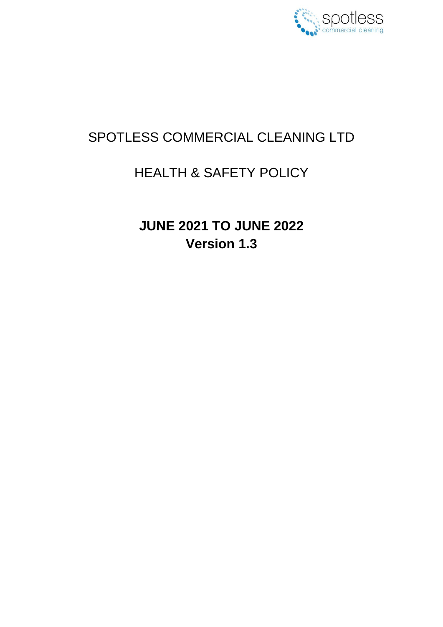

# SPOTLESS COMMERCIAL CLEANING LTD

# HEALTH & SAFETY POLICY

**JUNE 2021 TO JUNE 2022 Version 1.3**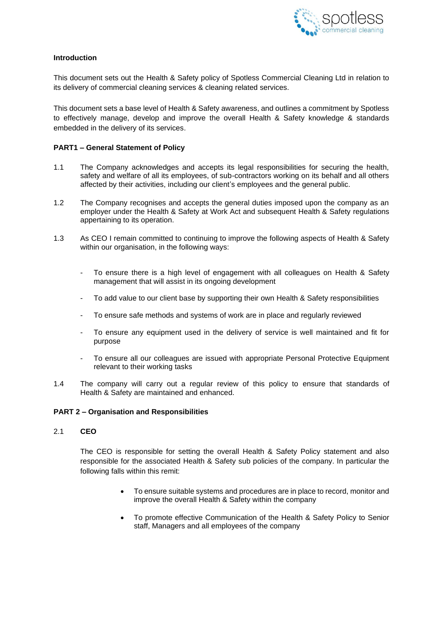

# **Introduction**

This document sets out the Health & Safety policy of Spotless Commercial Cleaning Ltd in relation to its delivery of commercial cleaning services & cleaning related services.

This document sets a base level of Health & Safety awareness, and outlines a commitment by Spotless to effectively manage, develop and improve the overall Health & Safety knowledge & standards embedded in the delivery of its services.

## **PART1 – General Statement of Policy**

- 1.1 The Company acknowledges and accepts its legal responsibilities for securing the health, safety and welfare of all its employees, of sub-contractors working on its behalf and all others affected by their activities, including our client's employees and the general public.
- 1.2 The Company recognises and accepts the general duties imposed upon the company as an employer under the Health & Safety at Work Act and subsequent Health & Safety regulations appertaining to its operation.
- 1.3 As CEO I remain committed to continuing to improve the following aspects of Health & Safety within our organisation, in the following ways:
	- To ensure there is a high level of engagement with all colleagues on Health & Safety management that will assist in its ongoing development
	- To add value to our client base by supporting their own Health & Safety responsibilities
	- To ensure safe methods and systems of work are in place and regularly reviewed
	- To ensure any equipment used in the delivery of service is well maintained and fit for purpose
	- To ensure all our colleagues are issued with appropriate Personal Protective Equipment relevant to their working tasks
- 1.4 The company will carry out a regular review of this policy to ensure that standards of Health & Safety are maintained and enhanced.

#### **PART 2 – Organisation and Responsibilities**

2.1 **CEO**

The CEO is responsible for setting the overall Health & Safety Policy statement and also responsible for the associated Health & Safety sub policies of the company. In particular the following falls within this remit:

- To ensure suitable systems and procedures are in place to record, monitor and improve the overall Health & Safety within the company
- To promote effective Communication of the Health & Safety Policy to Senior staff, Managers and all employees of the company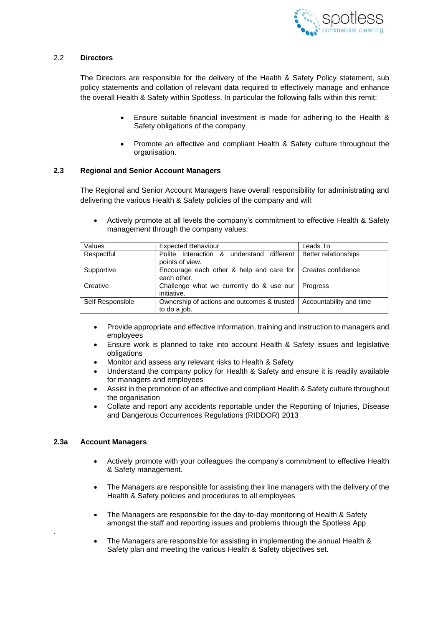

## 2.2 **Directors**

The Directors are responsible for the delivery of the Health & Safety Policy statement, sub policy statements and collation of relevant data required to effectively manage and enhance the overall Health & Safety within Spotless. In particular the following falls within this remit:

- Ensure suitable financial investment is made for adhering to the Health & Safety obligations of the company
- Promote an effective and compliant Health & Safety culture throughout the organisation.

## **2.3 Regional and Senior Account Managers**

The Regional and Senior Account Managers have overall responsibility for administrating and delivering the various Health & Safety policies of the company and will:

• Actively promote at all levels the company's commitment to effective Health & Safety management through the company values:

| Values           | <b>Expected Behaviour</b>                                                           | Leads To                |
|------------------|-------------------------------------------------------------------------------------|-------------------------|
| Respectful       | Polite Interaction & understand different   Better relationships<br>points of view. |                         |
| Supportive       | Encourage each other & help and care for   Creates confidence<br>each other.        |                         |
| Creative         | Challenge what we currently do & use our<br>initiative.                             | Progress                |
| Self Responsible | Ownership of actions and outcomes & trusted<br>to do a job.                         | Accountability and time |

- Provide appropriate and effective information, training and instruction to managers and employees
- Ensure work is planned to take into account Health & Safety issues and legislative obligations
- Monitor and assess any relevant risks to Health & Safety
- Understand the company policy for Health & Safety and ensure it is readily available for managers and employees
- Assist in the promotion of an effective and compliant Health & Safety culture throughout the organisation
- Collate and report any accidents reportable under the Reporting of Injuries, Disease and Dangerous Occurrences Regulations (RIDDOR) 2013

#### **2.3a Account Managers**

.

- Actively promote with your colleagues the company's commitment to effective Health & Safety management.
- The Managers are responsible for assisting their line managers with the delivery of the Health & Safety policies and procedures to all employees
- The Managers are responsible for the day-to-day monitoring of Health & Safety amongst the staff and reporting issues and problems through the Spotless App
- The Managers are responsible for assisting in implementing the annual Health & Safety plan and meeting the various Health & Safety objectives set.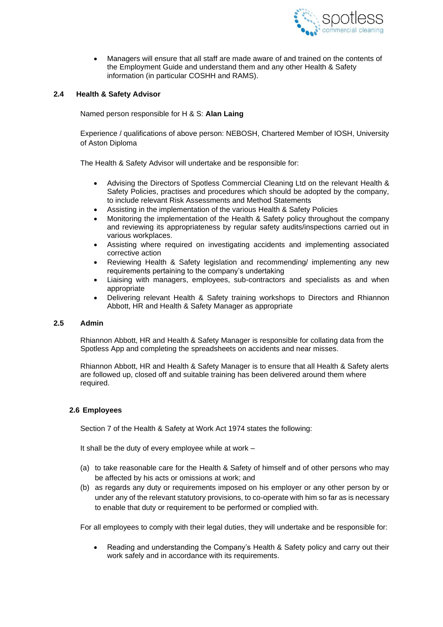

• Managers will ensure that all staff are made aware of and trained on the contents of the Employment Guide and understand them and any other Health & Safety information (in particular COSHH and RAMS).

## **2.4 Health & Safety Advisor**

Named person responsible for H & S: **Alan Laing**

Experience / qualifications of above person: NEBOSH, Chartered Member of IOSH, University of Aston Diploma

The Health & Safety Advisor will undertake and be responsible for:

- Advising the Directors of Spotless Commercial Cleaning Ltd on the relevant Health & Safety Policies, practises and procedures which should be adopted by the company, to include relevant Risk Assessments and Method Statements
- Assisting in the implementation of the various Health & Safety Policies
- Monitoring the implementation of the Health & Safety policy throughout the company and reviewing its appropriateness by regular safety audits/inspections carried out in various workplaces.
- Assisting where required on investigating accidents and implementing associated corrective action
- Reviewing Health & Safety legislation and recommending/ implementing any new requirements pertaining to the company's undertaking
- Liaising with managers, employees, sub-contractors and specialists as and when appropriate
- Delivering relevant Health & Safety training workshops to Directors and Rhiannon Abbott, HR and Health & Safety Manager as appropriate

#### **2.5 Admin**

Rhiannon Abbott, HR and Health & Safety Manager is responsible for collating data from the Spotless App and completing the spreadsheets on accidents and near misses.

Rhiannon Abbott, HR and Health & Safety Manager is to ensure that all Health & Safety alerts are followed up, closed off and suitable training has been delivered around them where required.

#### **2.6 Employees**

Section 7 of the Health & Safety at Work Act 1974 states the following:

It shall be the duty of every employee while at work –

- (a) to take reasonable care for the Health & Safety of himself and of other persons who may be affected by his acts or omissions at work; and
- (b) as regards any duty or requirements imposed on his employer or any other person by or under any of the relevant statutory provisions, to co-operate with him so far as is necessary to enable that duty or requirement to be performed or complied with.

For all employees to comply with their legal duties, they will undertake and be responsible for:

• Reading and understanding the Company's Health & Safety policy and carry out their work safely and in accordance with its requirements.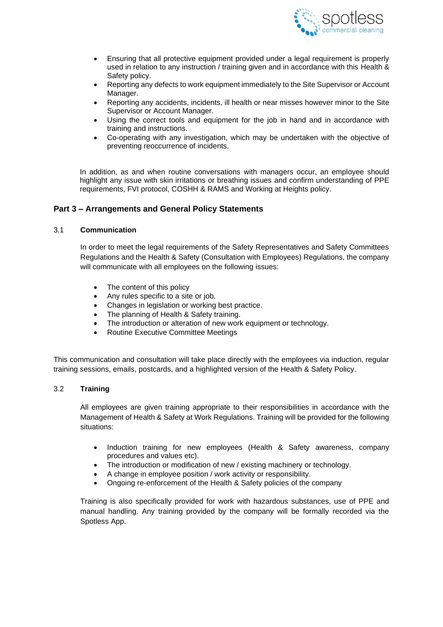

- Ensuring that all protective equipment provided under a legal requirement is properly used in relation to any instruction / training given and in accordance with this Health & Safety policy.
- Reporting any defects to work equipment immediately to the Site Supervisor or Account Manager.
- Reporting any accidents, incidents, ill health or near misses however minor to the Site Supervisor or Account Manager.
- Using the correct tools and equipment for the job in hand and in accordance with training and instructions.
- Co-operating with any investigation, which may be undertaken with the objective of preventing reoccurrence of incidents.

In addition, as and when routine conversations with managers occur, an employee should highlight any issue with skin irritations or breathing issues and confirm understanding of PPE requirements, FVI protocol, COSHH & RAMS and Working at Heights policy.

# **Part 3 – Arrangements and General Policy Statements**

## 3.1 **Communication**

In order to meet the legal requirements of the Safety Representatives and Safety Committees Regulations and the Health & Safety (Consultation with Employees) Regulations, the company will communicate with all employees on the following issues:

- The content of this policy
- Any rules specific to a site or job.
- Changes in legislation or working best practice.
- The planning of Health & Safety training.
- The introduction or alteration of new work equipment or technology.
- Routine Executive Committee Meetings

This communication and consultation will take place directly with the employees via induction, regular training sessions, emails, postcards, and a highlighted version of the Health & Safety Policy.

#### 3.2 **Training**

All employees are given training appropriate to their responsibilities in accordance with the Management of Health & Safety at Work Regulations. Training will be provided for the following situations:

- Induction training for new employees (Health & Safety awareness, company procedures and values etc).
- The introduction or modification of new / existing machinery or technology.
- A change in employee position / work activity or responsibility.
- Ongoing re-enforcement of the Health & Safety policies of the company

Training is also specifically provided for work with hazardous substances, use of PPE and manual handling. Any training provided by the company will be formally recorded via the Spotless App.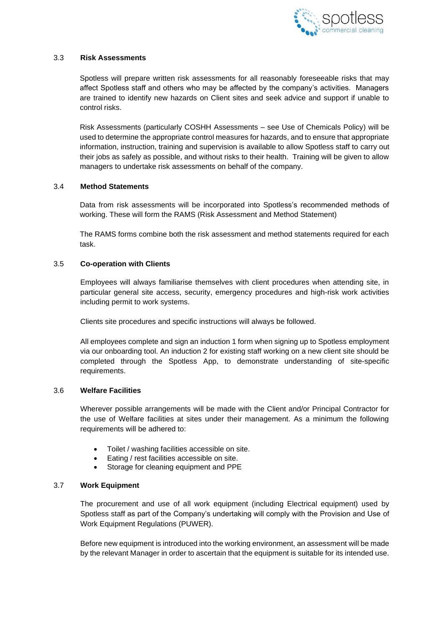

## 3.3 **Risk Assessments**

Spotless will prepare written risk assessments for all reasonably foreseeable risks that may affect Spotless staff and others who may be affected by the company's activities. Managers are trained to identify new hazards on Client sites and seek advice and support if unable to control risks.

Risk Assessments (particularly COSHH Assessments – see Use of Chemicals Policy) will be used to determine the appropriate control measures for hazards, and to ensure that appropriate information, instruction, training and supervision is available to allow Spotless staff to carry out their jobs as safely as possible, and without risks to their health. Training will be given to allow managers to undertake risk assessments on behalf of the company.

## 3.4 **Method Statements**

Data from risk assessments will be incorporated into Spotless's recommended methods of working. These will form the RAMS (Risk Assessment and Method Statement)

The RAMS forms combine both the risk assessment and method statements required for each task.

#### 3.5 **Co-operation with Clients**

Employees will always familiarise themselves with client procedures when attending site, in particular general site access, security, emergency procedures and high-risk work activities including permit to work systems.

Clients site procedures and specific instructions will always be followed.

All employees complete and sign an induction 1 form when signing up to Spotless employment via our onboarding tool. An induction 2 for existing staff working on a new client site should be completed through the Spotless App, to demonstrate understanding of site-specific requirements.

## 3.6 **Welfare Facilities**

Wherever possible arrangements will be made with the Client and/or Principal Contractor for the use of Welfare facilities at sites under their management. As a minimum the following requirements will be adhered to:

- Toilet / washing facilities accessible on site.
- Eating / rest facilities accessible on site.
- Storage for cleaning equipment and PPE

# 3.7 **Work Equipment**

The procurement and use of all work equipment (including Electrical equipment) used by Spotless staff as part of the Company's undertaking will comply with the Provision and Use of Work Equipment Regulations (PUWER).

Before new equipment is introduced into the working environment, an assessment will be made by the relevant Manager in order to ascertain that the equipment is suitable for its intended use.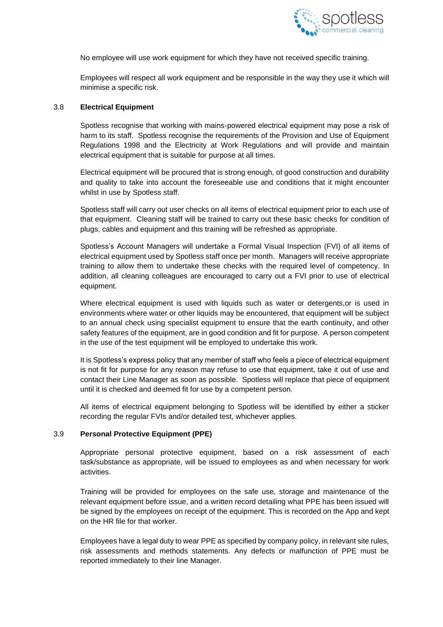

No employee will use work equipment for which they have not received specific training.

Employees will respect all work equipment and be responsible in the way they use it which will minimise a specific risk.

## 3.8 **Electrical Equipment**

Spotless recognise that working with mains-powered electrical equipment may pose a risk of harm to its staff. Spotless recognise the requirements of the Provision and Use of Equipment Regulations 1998 and the Electricity at Work Regulations and will provide and maintain electrical equipment that is suitable for purpose at all times.

Electrical equipment will be procured that is strong enough, of good construction and durability and quality to take into account the foreseeable use and conditions that it might encounter whilst in use by Spotless staff.

Spotless staff will carry out user checks on all items of electrical equipment prior to each use of that equipment. Cleaning staff will be trained to carry out these basic checks for condition of plugs, cables and equipment and this training will be refreshed as appropriate.

Spotless's Account Managers will undertake a Formal Visual Inspection (FVI) of all items of electrical equipment used by Spotless staff once per month. Managers will receive appropriate training to allow them to undertake these checks with the required level of competency. In addition, all cleaning colleagues are encouraged to carry out a FVI prior to use of electrical equipment.

Where electrical equipment is used with liquids such as water or detergents,or is used in environments where water or other liquids may be encountered, that equipment will be subject to an annual check using specialist equipment to ensure that the earth continuity, and other safety features of the equipment, are in good condition and fit for purpose. A person competent in the use of the test equipment will be employed to undertake this work.

It is Spotless's express policy that any member of staff who feels a piece of electrical equipment is not fit for purpose for any reason may refuse to use that equipment, take it out of use and contact their Line Manager as soon as possible. Spotless will replace that piece of equipment until it is checked and deemed fit for use by a competent person.

All items of electrical equipment belonging to Spotless will be identified by either a sticker recording the regular FVIs and/or detailed test, whichever applies.

#### 3.9 **Personal Protective Equipment (PPE)**

Appropriate personal protective equipment, based on a risk assessment of each task/substance as appropriate, will be issued to employees as and when necessary for work activities.

Training will be provided for employees on the safe use, storage and maintenance of the relevant equipment before issue, and a written record detailing what PPE has been issued will be signed by the employees on receipt of the equipment. This is recorded on the App and kept on the HR file for that worker.

Employees have a legal duty to wear PPE as specified by company policy, in relevant site rules, risk assessments and methods statements. Any defects or malfunction of PPE must be reported immediately to their line Manager.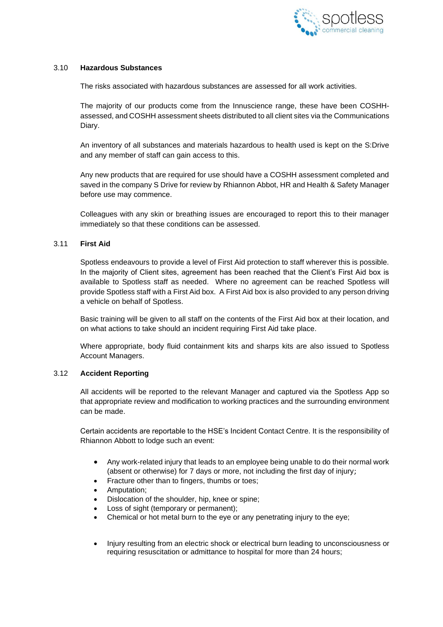

## 3.10 **Hazardous Substances**

The risks associated with hazardous substances are assessed for all work activities.

The majority of our products come from the Innuscience range, these have been COSHHassessed, and COSHH assessment sheets distributed to all client sites via the Communications Diary.

An inventory of all substances and materials hazardous to health used is kept on the S:Drive and any member of staff can gain access to this.

Any new products that are required for use should have a COSHH assessment completed and saved in the company S Drive for review by Rhiannon Abbot, HR and Health & Safety Manager before use may commence.

Colleagues with any skin or breathing issues are encouraged to report this to their manager immediately so that these conditions can be assessed.

## 3.11 **First Aid**

Spotless endeavours to provide a level of First Aid protection to staff wherever this is possible. In the majority of Client sites, agreement has been reached that the Client's First Aid box is available to Spotless staff as needed. Where no agreement can be reached Spotless will provide Spotless staff with a First Aid box. A First Aid box is also provided to any person driving a vehicle on behalf of Spotless.

Basic training will be given to all staff on the contents of the First Aid box at their location, and on what actions to take should an incident requiring First Aid take place.

Where appropriate, body fluid containment kits and sharps kits are also issued to Spotless Account Managers.

## 3.12 **Accident Reporting**

All accidents will be reported to the relevant Manager and captured via the Spotless App so that appropriate review and modification to working practices and the surrounding environment can be made.

Certain accidents are reportable to the HSE's Incident Contact Centre. It is the responsibility of Rhiannon Abbott to lodge such an event:

- Any work-related injury that leads to an employee being unable to do their normal work (absent or otherwise) for 7 days or more, not including the first day of injury;
- Fracture other than to fingers, thumbs or toes;
- Amputation;
- Dislocation of the shoulder, hip, knee or spine;
- Loss of sight (temporary or permanent);
- Chemical or hot metal burn to the eye or any penetrating injury to the eye;
- Injury resulting from an electric shock or electrical burn leading to unconsciousness or requiring resuscitation or admittance to hospital for more than 24 hours;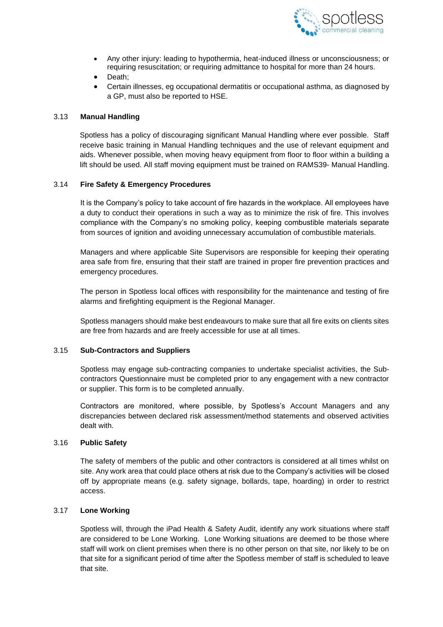

- Any other injury: leading to hypothermia, heat-induced illness or unconsciousness; or requiring resuscitation; or requiring admittance to hospital for more than 24 hours.
- Death;
- Certain illnesses, eg occupational dermatitis or occupational asthma, as diagnosed by a GP, must also be reported to HSE.

## 3.13 **Manual Handling**

Spotless has a policy of discouraging significant Manual Handling where ever possible. Staff receive basic training in Manual Handling techniques and the use of relevant equipment and aids. Whenever possible, when moving heavy equipment from floor to floor within a building a lift should be used. All staff moving equipment must be trained on RAMS39- Manual Handling.

## 3.14 **Fire Safety & Emergency Procedures**

It is the Company's policy to take account of fire hazards in the workplace. All employees have a duty to conduct their operations in such a way as to minimize the risk of fire. This involves compliance with the Company's no smoking policy, keeping combustible materials separate from sources of ignition and avoiding unnecessary accumulation of combustible materials.

Managers and where applicable Site Supervisors are responsible for keeping their operating area safe from fire, ensuring that their staff are trained in proper fire prevention practices and emergency procedures.

The person in Spotless local offices with responsibility for the maintenance and testing of fire alarms and firefighting equipment is the Regional Manager.

Spotless managers should make best endeavours to make sure that all fire exits on clients sites are free from hazards and are freely accessible for use at all times.

#### 3.15 **Sub-Contractors and Suppliers**

Spotless may engage sub-contracting companies to undertake specialist activities, the Subcontractors Questionnaire must be completed prior to any engagement with a new contractor or supplier. This form is to be completed annually.

Contractors are monitored, where possible, by Spotless's Account Managers and any discrepancies between declared risk assessment/method statements and observed activities dealt with.

#### 3.16 **Public Safety**

The safety of members of the public and other contractors is considered at all times whilst on site. Any work area that could place others at risk due to the Company's activities will be closed off by appropriate means (e.g. safety signage, bollards, tape, hoarding) in order to restrict access.

## 3.17 **Lone Working**

Spotless will, through the iPad Health & Safety Audit, identify any work situations where staff are considered to be Lone Working. Lone Working situations are deemed to be those where staff will work on client premises when there is no other person on that site, nor likely to be on that site for a significant period of time after the Spotless member of staff is scheduled to leave that site.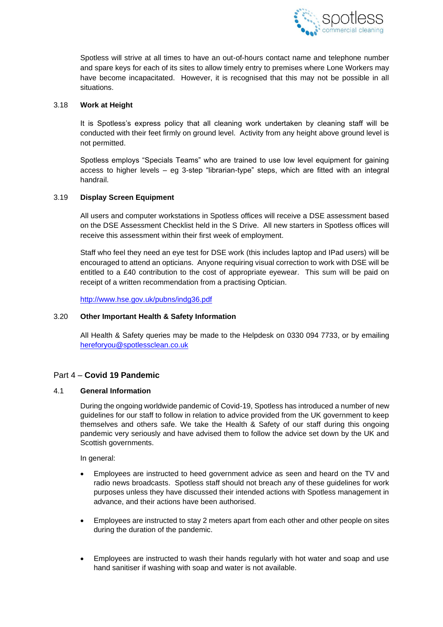

Spotless will strive at all times to have an out-of-hours contact name and telephone number and spare keys for each of its sites to allow timely entry to premises where Lone Workers may have become incapacitated. However, it is recognised that this may not be possible in all situations.

## 3.18 **Work at Height**

It is Spotless's express policy that all cleaning work undertaken by cleaning staff will be conducted with their feet firmly on ground level. Activity from any height above ground level is not permitted.

Spotless employs "Specials Teams" who are trained to use low level equipment for gaining access to higher levels – eg 3-step "librarian-type" steps, which are fitted with an integral handrail.

## 3.19 **Display Screen Equipment**

All users and computer workstations in Spotless offices will receive a DSE assessment based on the DSE Assessment Checklist held in the S Drive. All new starters in Spotless offices will receive this assessment within their first week of employment.

Staff who feel they need an eye test for DSE work (this includes laptop and IPad users) will be encouraged to attend an opticians. Anyone requiring visual correction to work with DSE will be entitled to a £40 contribution to the cost of appropriate eyewear. This sum will be paid on receipt of a written recommendation from a practising Optician.

<http://www.hse.gov.uk/pubns/indg36.pdf>

## 3.20 **Other Important Health & Safety Information**

All Health & Safety queries may be made to the Helpdesk on 0330 094 7733, or by emailing [hereforyou@spotlessclean.co.uk](mailto:hereforyou@spotlessclean.co.uk)

## Part 4 – **Covid 19 Pandemic**

#### 4.1 **General Information**

During the ongoing worldwide pandemic of Covid-19, Spotless has introduced a number of new guidelines for our staff to follow in relation to advice provided from the UK government to keep themselves and others safe. We take the Health & Safety of our staff during this ongoing pandemic very seriously and have advised them to follow the advice set down by the UK and Scottish governments.

In general:

- Employees are instructed to heed government advice as seen and heard on the TV and radio news broadcasts. Spotless staff should not breach any of these guidelines for work purposes unless they have discussed their intended actions with Spotless management in advance, and their actions have been authorised.
- Employees are instructed to stay 2 meters apart from each other and other people on sites during the duration of the pandemic.
- Employees are instructed to wash their hands regularly with hot water and soap and use hand sanitiser if washing with soap and water is not available.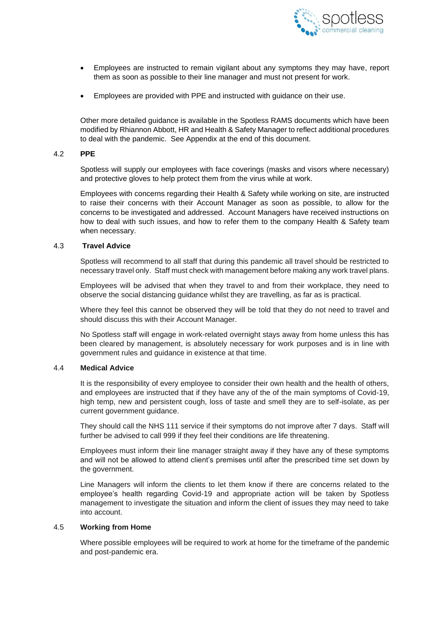

- Employees are instructed to remain vigilant about any symptoms they may have, report them as soon as possible to their line manager and must not present for work.
- Employees are provided with PPE and instructed with guidance on their use.

Other more detailed guidance is available in the Spotless RAMS documents which have been modified by Rhiannon Abbott, HR and Health & Safety Manager to reflect additional procedures to deal with the pandemic. See Appendix at the end of this document.

#### 4.2 **PPE**

Spotless will supply our employees with face coverings (masks and visors where necessary) and protective gloves to help protect them from the virus while at work.

Employees with concerns regarding their Health & Safety while working on site, are instructed to raise their concerns with their Account Manager as soon as possible, to allow for the concerns to be investigated and addressed. Account Managers have received instructions on how to deal with such issues, and how to refer them to the company Health & Safety team when necessary.

#### 4.3 **Travel Advice**

Spotless will recommend to all staff that during this pandemic all travel should be restricted to necessary travel only. Staff must check with management before making any work travel plans.

Employees will be advised that when they travel to and from their workplace, they need to observe the social distancing guidance whilst they are travelling, as far as is practical.

Where they feel this cannot be observed they will be told that they do not need to travel and should discuss this with their Account Manager.

No Spotless staff will engage in work-related overnight stays away from home unless this has been cleared by management, is absolutely necessary for work purposes and is in line with government rules and guidance in existence at that time.

#### 4.4 **Medical Advice**

It is the responsibility of every employee to consider their own health and the health of others, and employees are instructed that if they have any of the of the main symptoms of Covid-19, high temp, new and persistent cough, loss of taste and smell they are to self-isolate, as per current government guidance.

They should call the NHS 111 service if their symptoms do not improve after 7 days. Staff will further be advised to call 999 if they feel their conditions are life threatening.

Employees must inform their line manager straight away if they have any of these symptoms and will not be allowed to attend client's premises until after the prescribed time set down by the government.

Line Managers will inform the clients to let them know if there are concerns related to the employee's health regarding Covid-19 and appropriate action will be taken by Spotless management to investigate the situation and inform the client of issues they may need to take into account.

#### 4.5 **Working from Home**

Where possible employees will be required to work at home for the timeframe of the pandemic and post-pandemic era.